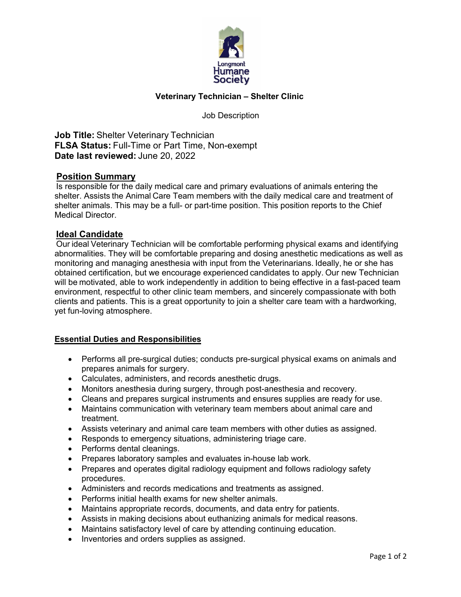

# **Veterinary Technician – Shelter Clinic**

Job Description

**Job Title:** Shelter Veterinary Technician  **FLSA Status:** Full-Time or Part Time, Non-exempt  **Date last reviewed:** June 20, 2022

## **Position Summary**

 Is responsible for the daily medical care and primary evaluations of animals entering the shelter. Assists the Animal Care Team members with the daily medical care and treatment of shelter animals. This may be a full- or part-time position. This position reports to the Chief Medical Director.  

## **Ideal Candidate**

 Our ideal Veterinary Technician will be comfortable performing physical exams and identifying abnormalities. They will be comfortable preparing and dosing anesthetic medications as well as monitoring and managing anesthesia with input from the Veterinarians. Ideally, he or she has obtained certification, but we encourage experienced candidates to apply. Our new Technician will be motivated, able to work independently in addition to being effective in a fast-paced team environment, respectful to other clinic team members, and sincerely compassionate with both clients and patients. This is a great opportunity to join a shelter care team with a hardworking, yet fun-loving atmosphere. 

## **Essential Duties and Responsibilities**

- Performs all pre-surgical duties; conducts pre-surgical physical exams on animals and prepares animals for surgery.
- Calculates, administers, and records anesthetic drugs.
- Monitors anesthesia during surgery, through post-anesthesia and recovery.
- Cleans and prepares surgical instruments and ensures supplies are ready for use.
- Maintains communication with veterinary team members about animal care and treatment.
- Assists veterinary and animal care team members with other duties as assigned.
- Responds to emergency situations, administering triage care.
- Performs dental cleanings.
- Prepares laboratory samples and evaluates in-house lab work.
- Prepares and operates digital radiology equipment and follows radiology safety procedures.
- Administers and records medications and treatments as assigned.
- Performs initial health exams for new shelter animals.
- Maintains appropriate records, documents, and data entry for patients.
- Assists in making decisions about euthanizing animals for medical reasons.
- Maintains satisfactory level of care by attending continuing education.
- Inventories and orders supplies as assigned.